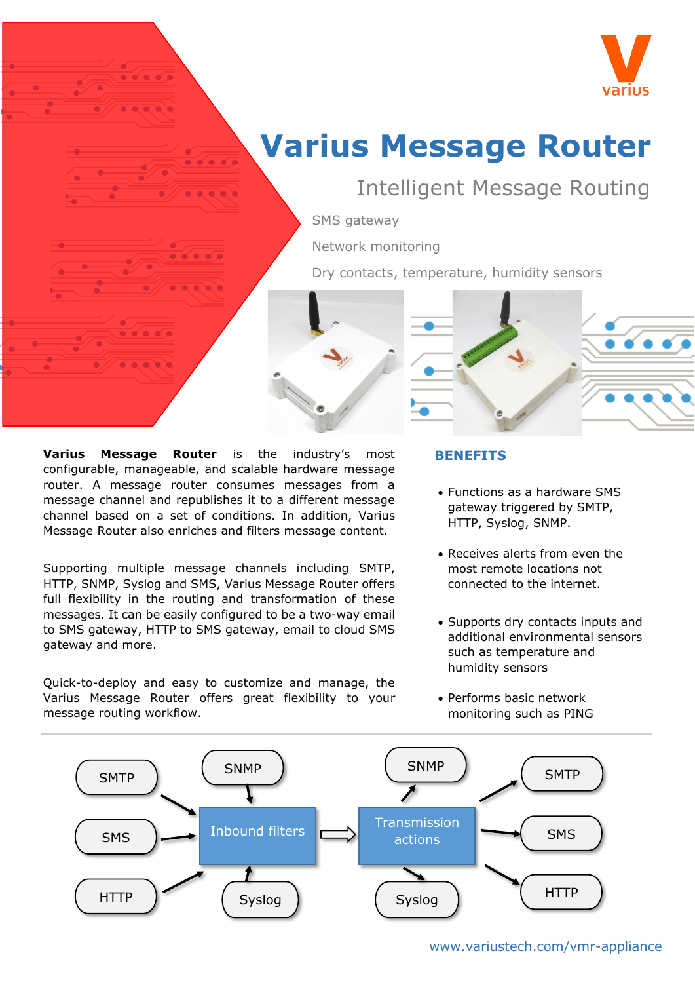

# **Varius Message Router**

# Intelligent Message Routing

SMS gateway

Network monitoring

Dry contacts, temperature, humidity sensors



Supporting multiple message channels including SMTP, HTTP, SNMP, Syslog and SMS, Varius Message Router offers full flexibility in the routing and transformation of these messages. It can be easily configured to be a two-way email to SMS gateway, HTTP to SMS gateway, email to cloud SMS gateway and more.

Quick-to-deploy and easy to customize and manage, the Varius Message Router offers great flexibility to your message routing workflow.

## **BENEFITS**

- Functions as a hardware SMS gateway triggered by SMTP, HTTP, Syslog, SNMP.
- Receives alerts from even the most remote locations not connected to the internet.
- Supports dry contacts inputs and additional environmental sensors such as temperature and humidity sensors
- Performs basic network monitoring such as PING

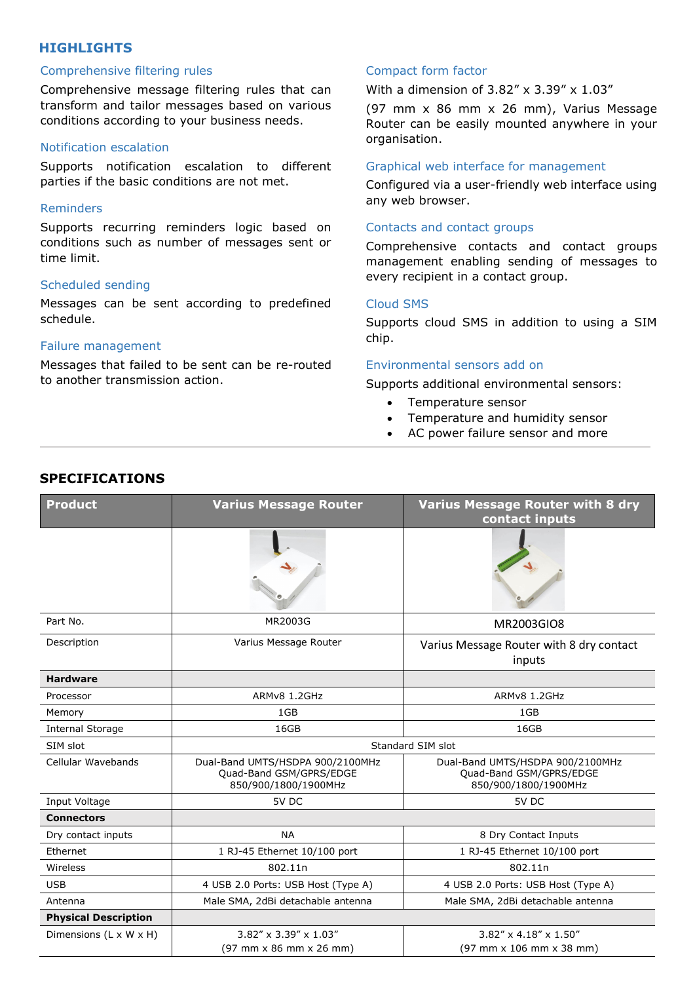# **HIGHLIGHTS**

#### Comprehensive filtering rules

Comprehensive message filtering rules that can transform and tailor messages based on various conditions according to your business needs.

#### Notification escalation

Supports notification escalation to different parties if the basic conditions are not met.

#### Reminders

Supports recurring reminders logic based on conditions such as number of messages sent or time limit.

#### Scheduled sending

Messages can be sent according to predefined schedule.

#### Failure management

Messages that failed to be sent can be re-routed to another transmission action.

#### Compact form factor

With a dimension of 3.82" x 3.39" x 1.03"

(97 mm x 86 mm x 26 mm), Varius Message Router can be easily mounted anywhere in your organisation.

#### Graphical web interface for management

Configured via a user-friendly web interface using any web browser.

#### Contacts and contact groups

Comprehensive contacts and contact groups management enabling sending of messages to every recipient in a contact group.

#### Cloud SMS

Supports cloud SMS in addition to using a SIM chip.

#### Environmental sensors add on

Supports additional environmental sensors:

- Temperature sensor
- Temperature and humidity sensor
- AC power failure sensor and more

| <b>Product</b>              | <b>Varius Message Router</b>                                                        | <b>Varius Message Router with 8 dry</b><br>contact inputs                           |
|-----------------------------|-------------------------------------------------------------------------------------|-------------------------------------------------------------------------------------|
|                             |                                                                                     |                                                                                     |
| Part No.                    | MR2003G                                                                             | MR2003GIO8                                                                          |
| Description                 | Varius Message Router                                                               | Varius Message Router with 8 dry contact<br>inputs                                  |
| <b>Hardware</b>             |                                                                                     |                                                                                     |
| Processor                   | ARMv8 1.2GHz                                                                        | ARMv8 1.2GHz                                                                        |
| Memory                      | 1GB                                                                                 | 1GB                                                                                 |
| <b>Internal Storage</b>     | 16GB                                                                                | 16GB                                                                                |
| SIM slot                    | Standard SIM slot                                                                   |                                                                                     |
| Cellular Wavebands          | Dual-Band UMTS/HSDPA 900/2100MHz<br>Quad-Band GSM/GPRS/EDGE<br>850/900/1800/1900MHz | Dual-Band UMTS/HSDPA 900/2100MHz<br>Quad-Band GSM/GPRS/EDGE<br>850/900/1800/1900MHz |
| Input Voltage               | 5V DC                                                                               | 5V DC                                                                               |
| <b>Connectors</b>           |                                                                                     |                                                                                     |
| Dry contact inputs          | <b>NA</b>                                                                           | 8 Dry Contact Inputs                                                                |
| Ethernet                    | 1 RJ-45 Ethernet 10/100 port                                                        | 1 RJ-45 Ethernet 10/100 port                                                        |
| Wireless                    | 802.11n                                                                             | 802.11n                                                                             |
| <b>USB</b>                  | 4 USB 2.0 Ports: USB Host (Type A)                                                  | 4 USB 2.0 Ports: USB Host (Type A)                                                  |
| Antenna                     | Male SMA, 2dBi detachable antenna                                                   | Male SMA, 2dBi detachable antenna                                                   |
| <b>Physical Description</b> |                                                                                     |                                                                                     |
| Dimensions (L x W x H)      | $3.82'' \times 3.39'' \times 1.03''$<br>(97 mm x 86 mm x 26 mm)                     | $3.82'' \times 4.18'' \times 1.50''$<br>(97 mm x 106 mm x 38 mm)                    |

# **SPECIFICATIONS**